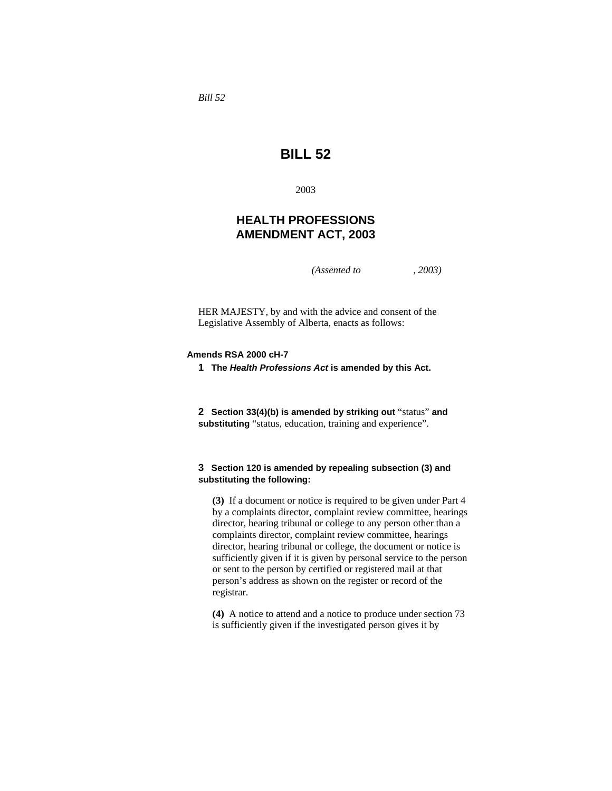*Bill 52* 

# **BILL 52**

2003

## **HEALTH PROFESSIONS AMENDMENT ACT, 2003**

*(Assented to , 2003)* 

HER MAJESTY, by and with the advice and consent of the Legislative Assembly of Alberta, enacts as follows:

## **Amends RSA 2000 cH-7**

**1 The** *Health Professions Act* **is amended by this Act.** 

**2 Section 33(4)(b) is amended by striking out** "status" **and substituting** "status, education, training and experience".

## **3 Section 120 is amended by repealing subsection (3) and substituting the following:**

**(3)** If a document or notice is required to be given under Part 4 by a complaints director, complaint review committee, hearings director, hearing tribunal or college to any person other than a complaints director, complaint review committee, hearings director, hearing tribunal or college, the document or notice is sufficiently given if it is given by personal service to the person or sent to the person by certified or registered mail at that person's address as shown on the register or record of the registrar.

**(4)** A notice to attend and a notice to produce under section 73 is sufficiently given if the investigated person gives it by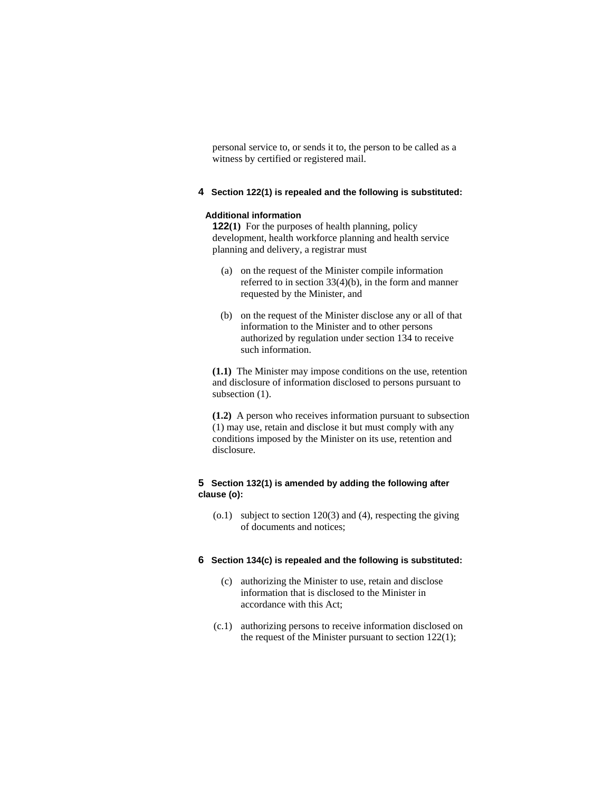personal service to, or sends it to, the person to be called as a witness by certified or registered mail.

## **4 Section 122(1) is repealed and the following is substituted:**

#### **Additional information**

**122(1)** For the purposes of health planning, policy development, health workforce planning and health service planning and delivery, a registrar must

- (a) on the request of the Minister compile information referred to in section 33(4)(b), in the form and manner requested by the Minister, and
- (b) on the request of the Minister disclose any or all of that information to the Minister and to other persons authorized by regulation under section 134 to receive such information.

**(1.1)** The Minister may impose conditions on the use, retention and disclosure of information disclosed to persons pursuant to subsection (1).

**(1.2)** A person who receives information pursuant to subsection (1) may use, retain and disclose it but must comply with any conditions imposed by the Minister on its use, retention and disclosure.

## **5 Section 132(1) is amended by adding the following after clause (o):**

 (o.1) subject to section 120(3) and (4), respecting the giving of documents and notices;

## **6 Section 134(c) is repealed and the following is substituted:**

- (c) authorizing the Minister to use, retain and disclose information that is disclosed to the Minister in accordance with this Act;
- (c.1) authorizing persons to receive information disclosed on the request of the Minister pursuant to section 122(1);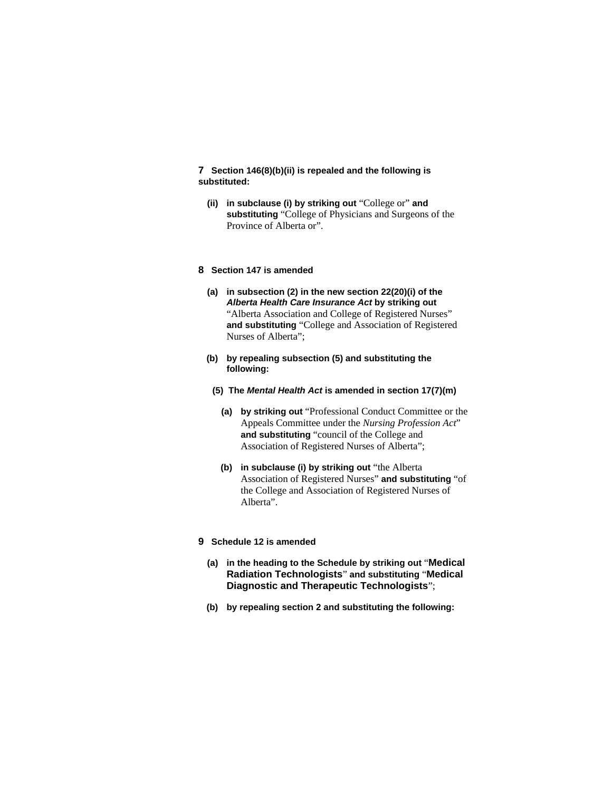## **7 Section 146(8)(b)(ii) is repealed and the following is substituted:**

**(ii) in subclause (i) by striking out** "College or" **and substituting** "College of Physicians and Surgeons of the Province of Alberta or".

#### **8 Section 147 is amended**

- **(a) in subsection (2) in the new section 22(20)(i) of the**  *Alberta Health Care Insurance Act* **by striking out**  "Alberta Association and College of Registered Nurses" **and substituting** "College and Association of Registered Nurses of Alberta";
- **(b) by repealing subsection (5) and substituting the following:**
- **(5) The** *Mental Health Act* **is amended in section 17(7)(m)**
	- **(a) by striking out** "Professional Conduct Committee or the Appeals Committee under the *Nursing Profession Act*" **and substituting** "council of the College and Association of Registered Nurses of Alberta";
	- **(b) in subclause (i) by striking out** "the Alberta Association of Registered Nurses" **and substituting** "of the College and Association of Registered Nurses of Alberta".
- **9 Schedule 12 is amended**
	- **(a) in the heading to the Schedule by striking out** "**Medical Radiation Technologists**" **and substituting** "**Medical Diagnostic and Therapeutic Technologists**";
	- **(b) by repealing section 2 and substituting the following:**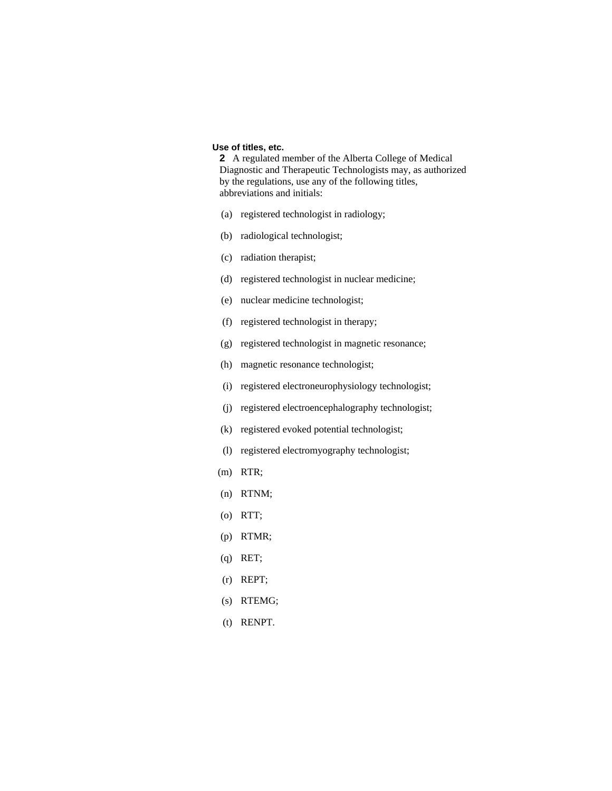## **Use of titles, etc.**

**2** A regulated member of the Alberta College of Medical Diagnostic and Therapeutic Technologists may, as authorized by the regulations, use any of the following titles, abbreviations and initials:

- (a) registered technologist in radiology;
- (b) radiological technologist;
- (c) radiation therapist;
- (d) registered technologist in nuclear medicine;
- (e) nuclear medicine technologist;
- (f) registered technologist in therapy;
- (g) registered technologist in magnetic resonance;
- (h) magnetic resonance technologist;
- (i) registered electroneurophysiology technologist;
- (j) registered electroencephalography technologist;
- (k) registered evoked potential technologist;
- (l) registered electromyography technologist;
- (m) RTR;
- (n) RTNM;
- (o) RTT;
- (p) RTMR;
- (q) RET;
- (r) REPT;
- (s) RTEMG;
- (t) RENPT.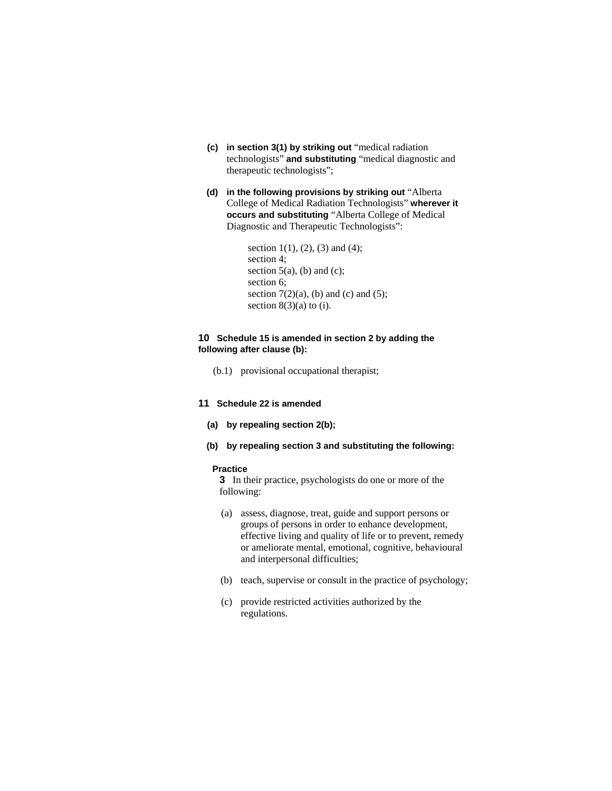- **(c) in section 3(1) by striking out** "medical radiation technologists" **and substituting** "medical diagnostic and therapeutic technologists";
- **(d) in the following provisions by striking out** "Alberta College of Medical Radiation Technologists" **wherever it occurs and substituting** "Alberta College of Medical Diagnostic and Therapeutic Technologists":

```
section 1(1), (2), (3) and (4);
section 4; 
section 5(a), (b) and (c);
section 6; 
section 7(2)(a), (b) and (c) and (5);
section 8(3)(a) to (i).
```
## **10 Schedule 15 is amended in section 2 by adding the following after clause (b):**

(b.1) provisional occupational therapist;

#### **11 Schedule 22 is amended**

- **(a) by repealing section 2(b);**
- **(b) by repealing section 3 and substituting the following:**

#### **Practice**

**3** In their practice, psychologists do one or more of the following:

- (a) assess, diagnose, treat, guide and support persons or groups of persons in order to enhance development, effective living and quality of life or to prevent, remedy or ameliorate mental, emotional, cognitive, behavioural and interpersonal difficulties;
- (b) teach, supervise or consult in the practice of psychology;
- (c) provide restricted activities authorized by the regulations.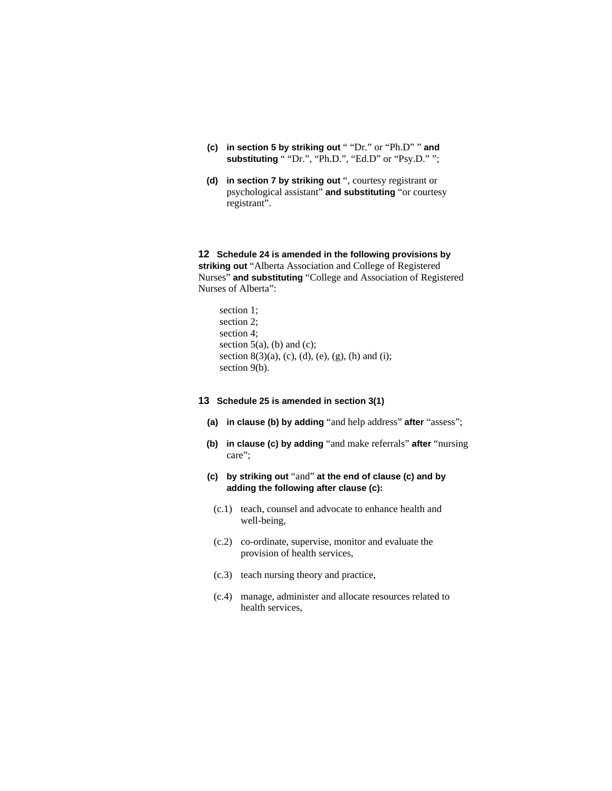- **(c) in section 5 by striking out** " "Dr." or "Ph.D" " **and substituting** " "Dr.", "Ph.D.", "Ed.D" or "Psy.D." ";
- **(d) in section 7 by striking out** ", courtesy registrant or psychological assistant" **and substituting** "or courtesy registrant".

**12 Schedule 24 is amended in the following provisions by striking out** "Alberta Association and College of Registered Nurses" **and substituting** "College and Association of Registered Nurses of Alberta":

section 1; section 2; section 4; section  $5(a)$ , (b) and (c); section 8(3)(a), (c), (d), (e), (g), (h) and (i); section 9(b).

## **13 Schedule 25 is amended in section 3(1)**

- **(a) in clause (b) by adding** "and help address" **after** "assess";
- **(b) in clause (c) by adding** "and make referrals" **after** "nursing care";
- **(c) by striking out** "and" **at the end of clause (c) and by adding the following after clause (c):**
- (c.1) teach, counsel and advocate to enhance health and well-being,
- (c.2) co-ordinate, supervise, monitor and evaluate the provision of health services,
- (c.3) teach nursing theory and practice,
- (c.4) manage, administer and allocate resources related to health services,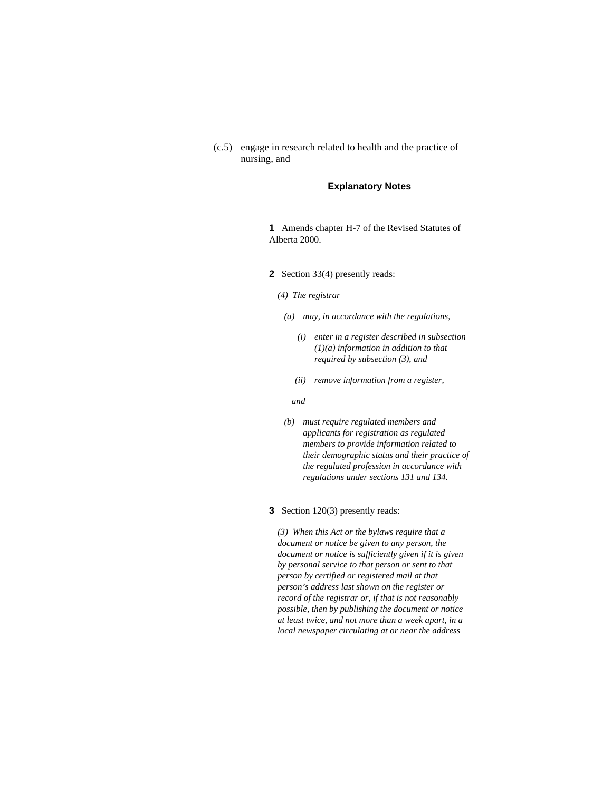(c.5) engage in research related to health and the practice of nursing, and

### **Explanatory Notes**

**1** Amends chapter H-7 of the Revised Statutes of Alberta 2000.

- **2** Section 33(4) presently reads:
	- *(4) The registrar* 
		- *(a) may, in accordance with the regulations,* 
			- *(i) enter in a register described in subsection (1)(a) information in addition to that required by subsection (3), and*
			- *(ii) remove information from a register,*

 *and* 

 *(b) must require regulated members and applicants for registration as regulated members to provide information related to their demographic status and their practice of the regulated profession in accordance with regulations under sections 131 and 134.* 

## **3** Section 120(3) presently reads:

*(3) When this Act or the bylaws require that a document or notice be given to any person, the document or notice is sufficiently given if it is given by personal service to that person or sent to that person by certified or registered mail at that person's address last shown on the register or record of the registrar or, if that is not reasonably possible, then by publishing the document or notice at least twice, and not more than a week apart, in a local newspaper circulating at or near the address*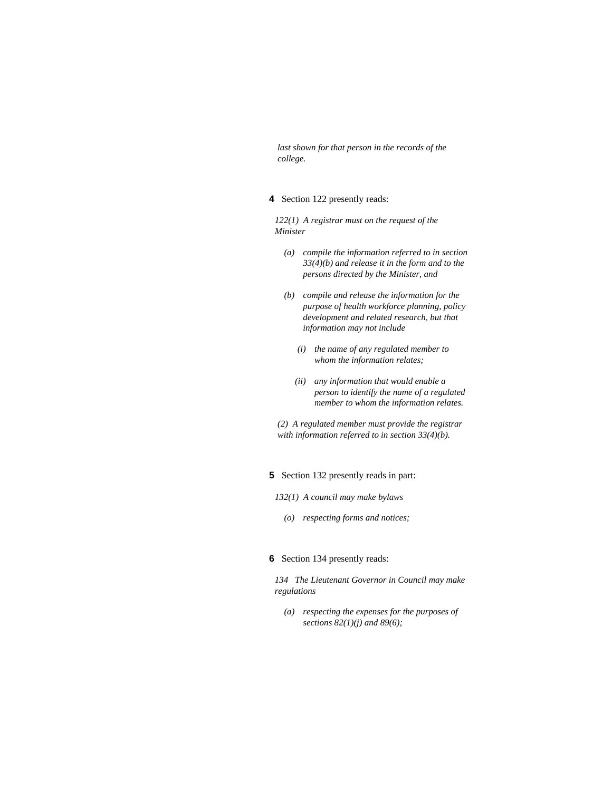*last shown for that person in the records of the college.* 

**4** Section 122 presently reads:

*122(1) A registrar must on the request of the Minister* 

- *(a) compile the information referred to in section 33(4)(b) and release it in the form and to the persons directed by the Minister, and*
- *(b) compile and release the information for the purpose of health workforce planning, policy development and related research, but that information may not include* 
	- *(i) the name of any regulated member to whom the information relates;*
	- *(ii) any information that would enable a person to identify the name of a regulated member to whom the information relates.*

*(2) A regulated member must provide the registrar with information referred to in section 33(4)(b).* 

## **5** Section 132 presently reads in part:

- *132(1) A council may make bylaws* 
	- *(o) respecting forms and notices;*

#### **6** Section 134 presently reads:

*134 The Lieutenant Governor in Council may make regulations* 

 *(a) respecting the expenses for the purposes of sections 82(1)(j) and 89(6);*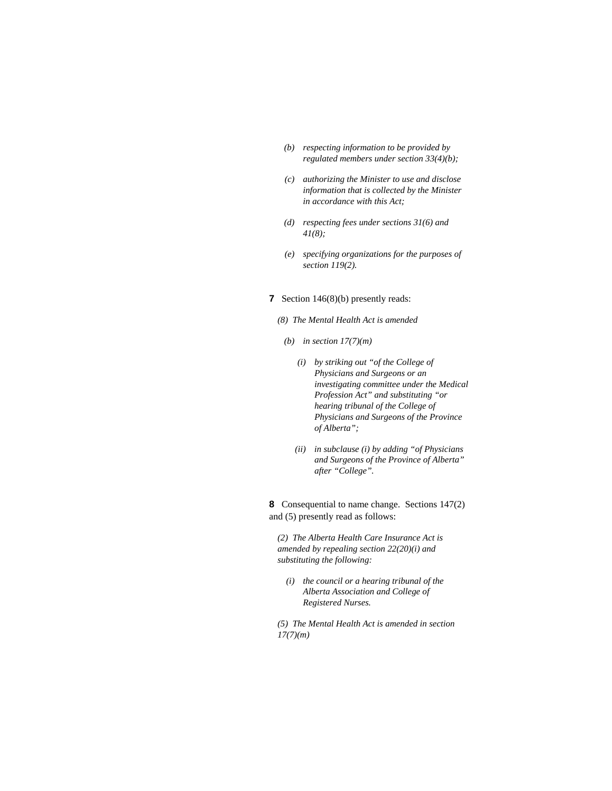- *(b) respecting information to be provided by regulated members under section 33(4)(b);*
- *(c) authorizing the Minister to use and disclose information that is collected by the Minister in accordance with this Act;*
- *(d) respecting fees under sections 31(6) and 41(8);*
- *(e) specifying organizations for the purposes of section 119(2).*

### **7** Section 146(8)(b) presently reads:

- *(8) The Mental Health Act is amended*
- *(b) in section 17(7)(m)* 
	- *(i) by striking out "of the College of Physicians and Surgeons or an investigating committee under the Medical Profession Act" and substituting "or hearing tribunal of the College of Physicians and Surgeons of the Province of Alberta";*
	- *(ii) in subclause (i) by adding "of Physicians and Surgeons of the Province of Alberta" after "College".*

**8** Consequential to name change. Sections 147(2) and (5) presently read as follows:

*(2) The Alberta Health Care Insurance Act is amended by repealing section 22(20)(i) and substituting the following:* 

 *(i) the council or a hearing tribunal of the Alberta Association and College of Registered Nurses.* 

*(5) The Mental Health Act is amended in section 17(7)(m)*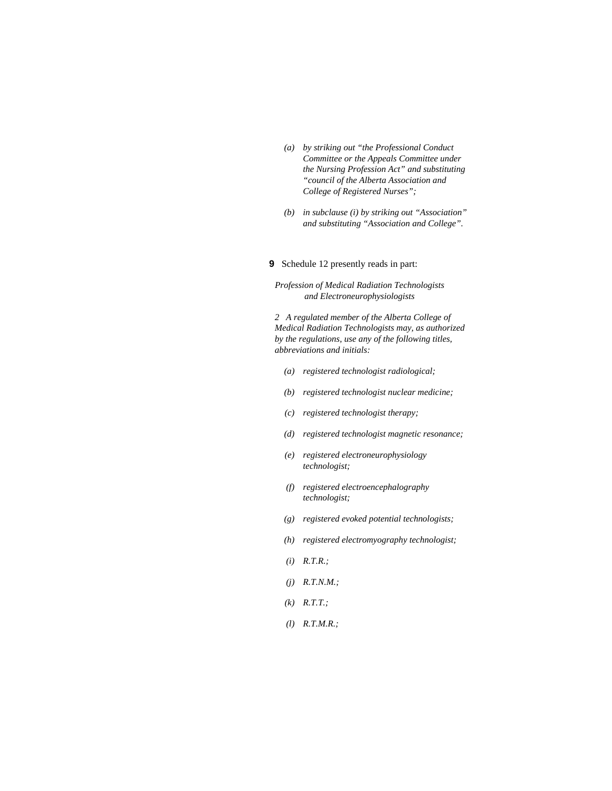- *(a) by striking out "the Professional Conduct Committee or the Appeals Committee under the Nursing Profession Act" and substituting "council of the Alberta Association and College of Registered Nurses";*
- *(b) in subclause (i) by striking out "Association" and substituting "Association and College".*

#### **9** Schedule 12 presently reads in part:

*Profession of Medical Radiation Technologists and Electroneurophysiologists* 

*2 A regulated member of the Alberta College of Medical Radiation Technologists may, as authorized by the regulations, use any of the following titles, abbreviations and initials:* 

- *(a) registered technologist radiological;*
- *(b) registered technologist nuclear medicine;*
- *(c) registered technologist therapy;*
- *(d) registered technologist magnetic resonance;*
- *(e) registered electroneurophysiology technologist;*
- *(f) registered electroencephalography technologist;*
- *(g) registered evoked potential technologists;*
- *(h) registered electromyography technologist;*
- *(i) R.T.R.;*
- *(j) R.T.N.M.;*
- *(k) R.T.T.;*
- *(l) R.T.M.R.;*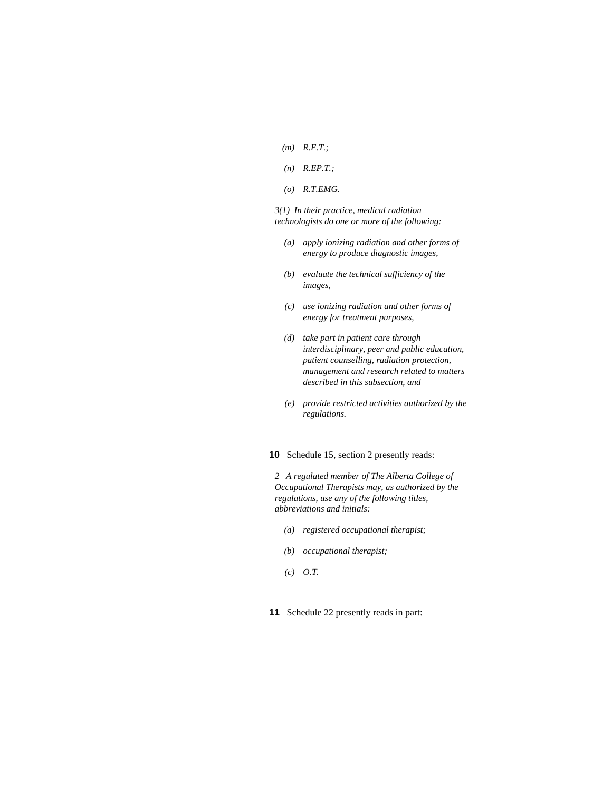- *(m) R.E.T.;*
- *(n) R.EP.T.;*
- *(o) R.T.EMG.*

*3(1) In their practice, medical radiation technologists do one or more of the following:* 

- *(a) apply ionizing radiation and other forms of energy to produce diagnostic images,*
- *(b) evaluate the technical sufficiency of the images,*
- *(c) use ionizing radiation and other forms of energy for treatment purposes,*
- *(d) take part in patient care through interdisciplinary, peer and public education, patient counselling, radiation protection, management and research related to matters described in this subsection, and*
- *(e) provide restricted activities authorized by the regulations.*

**10** Schedule 15, section 2 presently reads:

*2 A regulated member of The Alberta College of Occupational Therapists may, as authorized by the regulations, use any of the following titles, abbreviations and initials:* 

- *(a) registered occupational therapist;*
- *(b) occupational therapist;*
- *(c) O.T.*
- **11** Schedule 22 presently reads in part: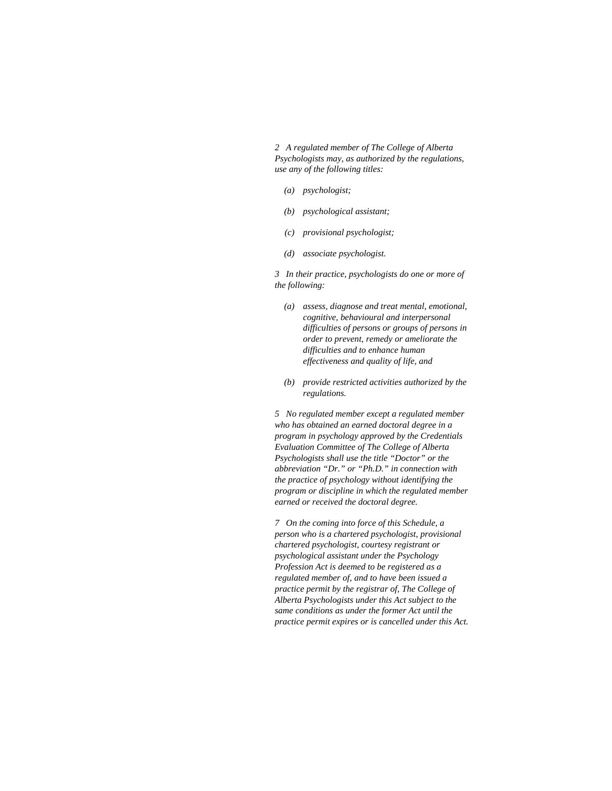*2 A regulated member of The College of Alberta Psychologists may, as authorized by the regulations, use any of the following titles:* 

- *(a) psychologist;*
- *(b) psychological assistant;*
- *(c) provisional psychologist;*
- *(d) associate psychologist.*

*3 In their practice, psychologists do one or more of the following:* 

- *(a) assess, diagnose and treat mental, emotional, cognitive, behavioural and interpersonal difficulties of persons or groups of persons in order to prevent, remedy or ameliorate the difficulties and to enhance human effectiveness and quality of life, and*
- *(b) provide restricted activities authorized by the regulations.*

*5 No regulated member except a regulated member who has obtained an earned doctoral degree in a program in psychology approved by the Credentials Evaluation Committee of The College of Alberta Psychologists shall use the title "Doctor" or the abbreviation "Dr." or "Ph.D." in connection with the practice of psychology without identifying the program or discipline in which the regulated member earned or received the doctoral degree.* 

*7 On the coming into force of this Schedule, a person who is a chartered psychologist, provisional chartered psychologist, courtesy registrant or psychological assistant under the Psychology Profession Act is deemed to be registered as a regulated member of, and to have been issued a practice permit by the registrar of, The College of Alberta Psychologists under this Act subject to the same conditions as under the former Act until the practice permit expires or is cancelled under this Act.*